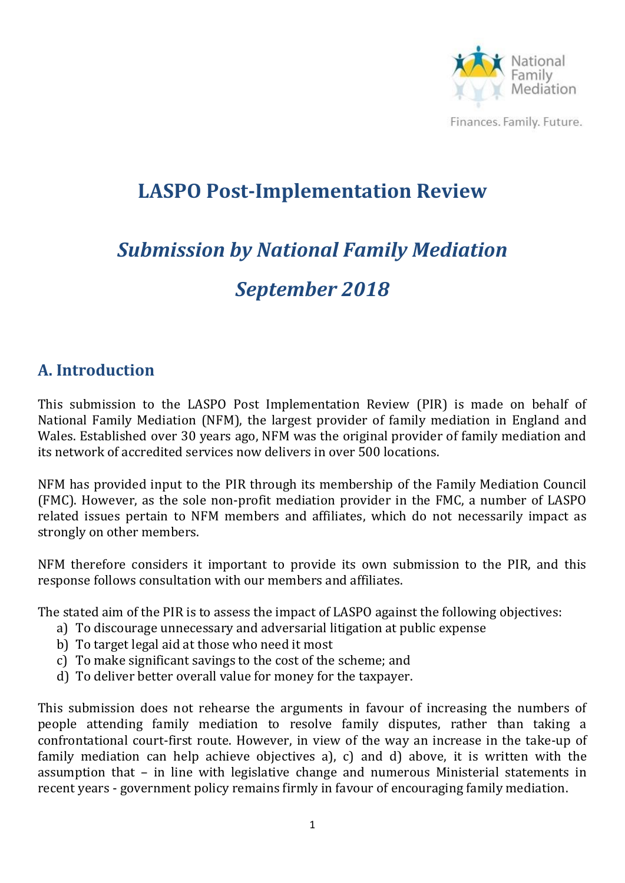

# **LASPO Post-Implementation Review**

# *Submission by National Family Mediation September 2018*

#### **A. Introduction**

This submission to the LASPO Post Implementation Review (PIR) is made on behalf of National Family Mediation (NFM), the largest provider of family mediation in England and Wales. Established over 30 years ago, NFM was the original provider of family mediation and its network of accredited services now delivers in over 500 locations.

NFM has provided input to the PIR through its membership of the Family Mediation Council (FMC). However, as the sole non-profit mediation provider in the FMC, a number of LASPO related issues pertain to NFM members and affiliates, which do not necessarily impact as strongly on other members.

NFM therefore considers it important to provide its own submission to the PIR, and this response follows consultation with our members and affiliates.

The stated aim of the PIR is to assess the impact of LASPO against the following objectives:

- a) To discourage unnecessary and adversarial litigation at public expense
- b) To target legal aid at those who need it most
- c) To make significant savings to the cost of the scheme; and
- d) To deliver better overall value for money for the taxpayer.

This submission does not rehearse the arguments in favour of increasing the numbers of people attending family mediation to resolve family disputes, rather than taking a confrontational court-first route. However, in view of the way an increase in the take-up of family mediation can help achieve objectives a), c) and d) above, it is written with the assumption that – in line with legislative change and numerous Ministerial statements in recent years - government policy remains firmly in favour of encouraging family mediation.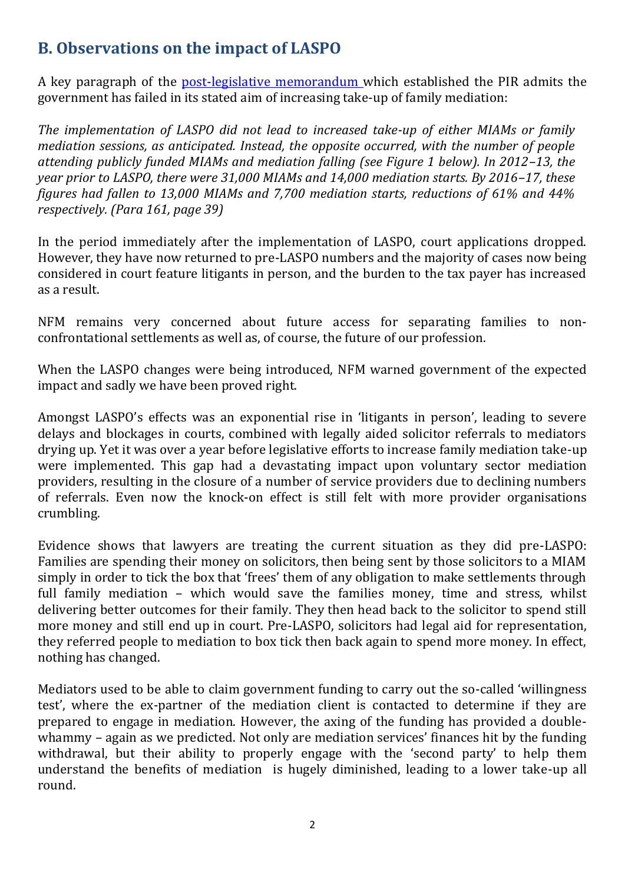# **B. Observations on the impact of LASPO**

A key paragraph of the [post-legislative memorandum](https://www.gov.uk/government/uploads/system/uploads/attachment_data/file/655971/LASPO-Act-2012-post-legislative-memorandum.pdf) which established the PIR admits the government has failed in its stated aim of increasing take-up of family mediation:

*The implementation of LASPO did not lead to increased take-up of either MIAMs or family mediation sessions, as anticipated. Instead, the opposite occurred, with the number of people attending publicly funded MIAMs and mediation falling (see Figure 1 below). In 2012–13, the year prior to LASPO, there were 31,000 MIAMs and 14,000 mediation starts. By 2016–17, these figures had fallen to 13,000 MIAMs and 7,700 mediation starts, reductions of 61% and 44% respectively. (Para 161, page 39)*

In the period immediately after the implementation of LASPO, court applications dropped. However, they have now returned to pre-LASPO numbers and the majority of cases now being considered in court feature litigants in person, and the burden to the tax payer has increased as a result.

NFM remains very concerned about future access for separating families to nonconfrontational settlements as well as, of course, the future of our profession.

When the LASPO changes were being introduced, NFM warned government of the expected impact and sadly we have been proved right.

Amongst LASPO's effects was an exponential rise in 'litigants in person', leading to severe delays and blockages in courts, combined with legally aided solicitor referrals to mediators drying up. Yet it was over a year before legislative efforts to increase family mediation take-up were implemented. This gap had a devastating impact upon voluntary sector mediation providers, resulting in the closure of a number of service providers due to declining numbers of referrals. Even now the knock-on effect is still felt with more provider organisations crumbling.

Evidence shows that lawyers are treating the current situation as they did pre-LASPO: Families are spending their money on solicitors, then being sent by those solicitors to a MIAM simply in order to tick the box that 'frees' them of any obligation to make settlements through full family mediation – which would save the families money, time and stress, whilst delivering better outcomes for their family. They then head back to the solicitor to spend still more money and still end up in court. Pre-LASPO, solicitors had legal aid for representation, they referred people to mediation to box tick then back again to spend more money. In effect, nothing has changed.

Mediators used to be able to claim government funding to carry out the so-called 'willingness test', where the ex-partner of the mediation client is contacted to determine if they are prepared to engage in mediation. However, the axing of the funding has provided a doublewhammy – again as we predicted. Not only are mediation services' finances hit by the funding withdrawal, but their ability to properly engage with the 'second party' to help them understand the benefits of mediation is hugely diminished, leading to a lower take-up all round.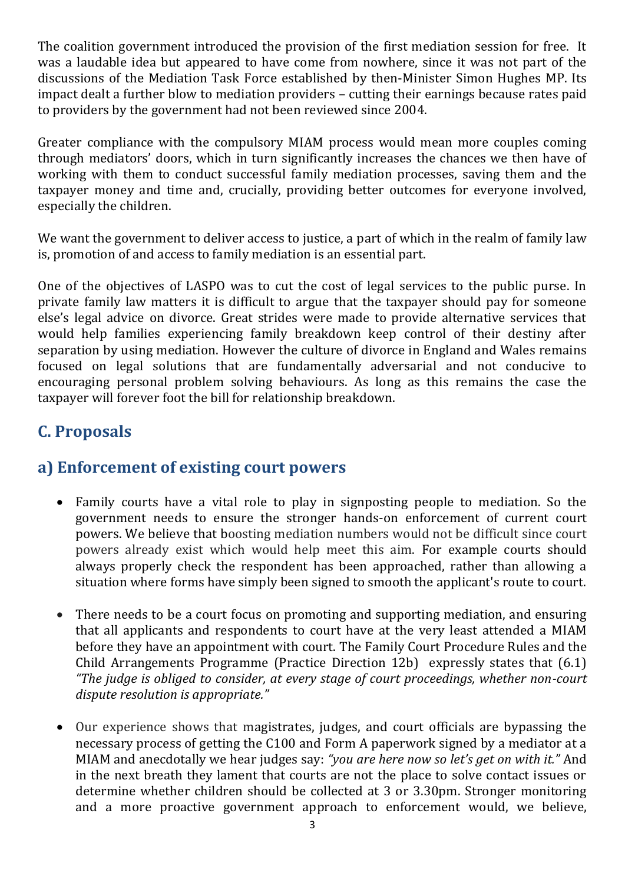The coalition government introduced the provision of the first mediation session for free. It was a laudable idea but appeared to have come from nowhere, since it was not part of the discussions of the Mediation Task Force established by then-Minister Simon Hughes MP. Its impact dealt a further blow to mediation providers – cutting their earnings because rates paid to providers by the government had not been reviewed since 2004.

Greater compliance with the compulsory MIAM process would mean more couples coming through mediators' doors, which in turn significantly increases the chances we then have of working with them to conduct successful family mediation processes, saving them and the taxpayer money and time and, crucially, providing better outcomes for everyone involved, especially the children.

We want the government to deliver access to justice, a part of which in the realm of family law is, promotion of and access to family mediation is an essential part.

One of the objectives of LASPO was to cut the cost of legal services to the public purse. In private family law matters it is difficult to argue that the taxpayer should pay for someone else's legal advice on divorce. Great strides were made to provide alternative services that would help families experiencing family breakdown keep control of their destiny after separation by using mediation. However the culture of divorce in England and Wales remains focused on legal solutions that are fundamentally adversarial and not conducive to encouraging personal problem solving behaviours. As long as this remains the case the taxpayer will forever foot the bill for relationship breakdown.

# **C. Proposals**

#### **a) Enforcement of existing court powers**

- Family courts have a vital role to play in signposting people to mediation. So the government needs to ensure the stronger hands-on enforcement of current court powers. We believe that boosting mediation numbers would not be difficult since court powers already exist which would help meet this aim. For example courts should always properly check the respondent has been approached, rather than allowing a situation where forms have simply been signed to smooth the applicant's route to court.
- There needs to be a court focus on promoting and supporting mediation, and ensuring that all applicants and respondents to court have at the very least attended a MIAM before they have an appointment with court. The Family Court Procedure Rules and the Child Arrangements Programme (Practice Direction 12b) expressly states that (6.1) *"The judge is obliged to consider, at every stage of court proceedings, whether non-court dispute resolution is appropriate."*
- Our experience shows that magistrates, judges, and court officials are bypassing the necessary process of getting the C100 and Form A paperwork signed by a mediator at a MIAM and anecdotally we hear judges say: *"you are here now so let's get on with it."* And in the next breath they lament that courts are not the place to solve contact issues or determine whether children should be collected at 3 or 3.30pm. Stronger monitoring and a more proactive government approach to enforcement would, we believe,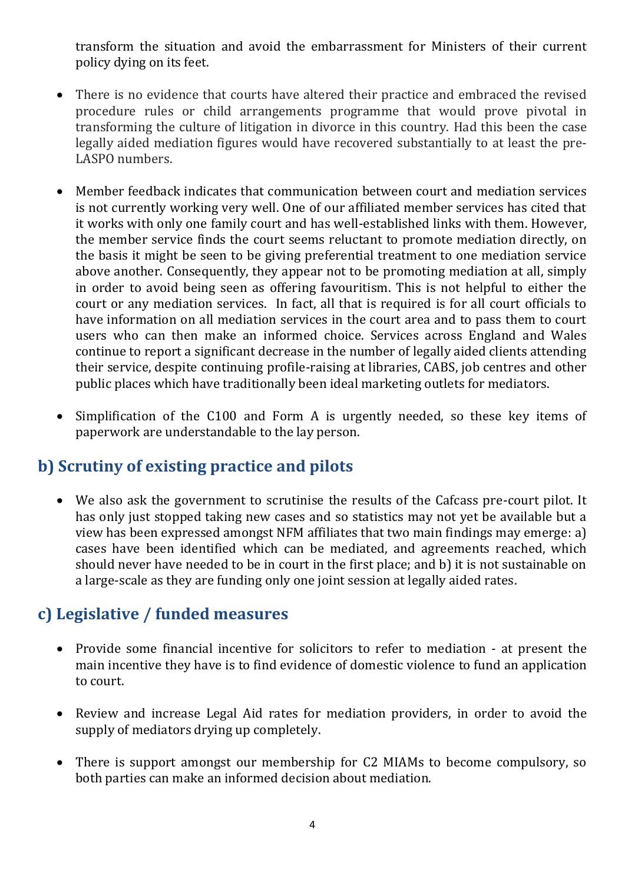transform the situation and avoid the embarrassment for Ministers of their current policy dying on its feet.

- There is no evidence that courts have altered their practice and embraced the revised procedure rules or child arrangements programme that would prove pivotal in transforming the culture of litigation in divorce in this country. Had this been the case legally aided mediation figures would have recovered substantially to at least the pre-LASPO numbers.
- Member feedback indicates that communication between court and mediation services is not currently working very well. One of our affiliated member services has cited that it works with only one family court and has well-established links with them. However, the member service finds the court seems reluctant to promote mediation directly, on the basis it might be seen to be giving preferential treatment to one mediation service above another. Consequently, they appear not to be promoting mediation at all, simply in order to avoid being seen as offering favouritism. This is not helpful to either the court or any mediation services. In fact, all that is required is for all court officials to have information on all mediation services in the court area and to pass them to court users who can then make an informed choice. Services across England and Wales continue to report a significant decrease in the number of legally aided clients attending their service, despite continuing profile-raising at libraries, CABS, job centres and other public places which have traditionally been ideal marketing outlets for mediators.
- Simplification of the C100 and Form A is urgently needed, so these key items of paperwork are understandable to the lay person.

# **b) Scrutiny of existing practice and pilots**

 We also ask the government to scrutinise the results of the Cafcass pre-court pilot. It has only just stopped taking new cases and so statistics may not yet be available but a view has been expressed amongst NFM affiliates that two main findings may emerge: a) cases have been identified which can be mediated, and agreements reached, which should never have needed to be in court in the first place; and b) it is not sustainable on a large-scale as they are funding only one joint session at legally aided rates.

# **c) Legislative / funded measures**

- Provide some financial incentive for solicitors to refer to mediation at present the main incentive they have is to find evidence of domestic violence to fund an application to court.
- Review and increase Legal Aid rates for mediation providers, in order to avoid the supply of mediators drying up completely.
- There is support amongst our membership for C2 MIAMs to become compulsory, so both parties can make an informed decision about mediation.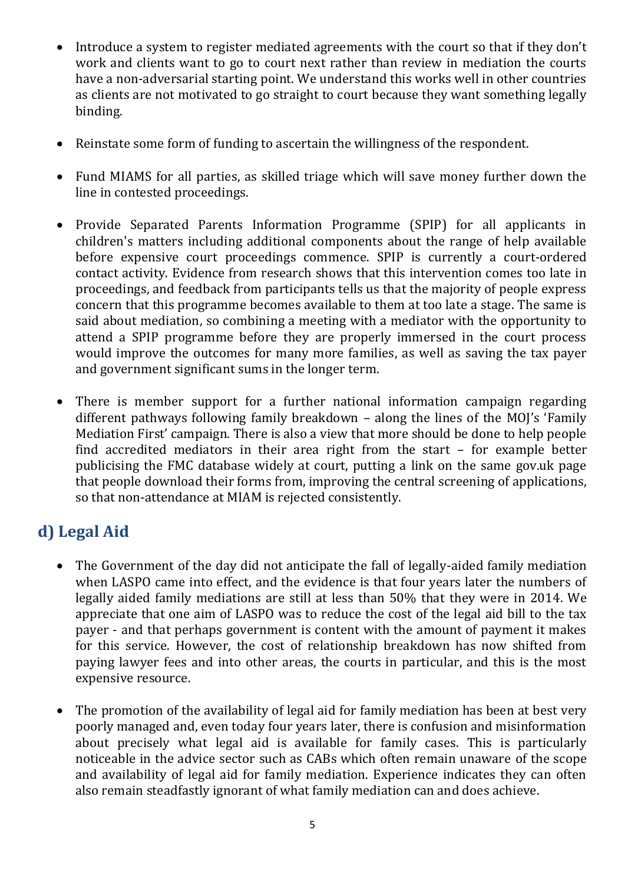- Introduce a system to register mediated agreements with the court so that if they don't work and clients want to go to court next rather than review in mediation the courts have a non-adversarial starting point. We understand this works well in other countries as clients are not motivated to go straight to court because they want something legally binding.
- Reinstate some form of funding to ascertain the willingness of the respondent.
- Fund MIAMS for all parties, as skilled triage which will save money further down the line in contested proceedings.
- Provide Separated Parents Information Programme (SPIP) for all applicants in children's matters including additional components about the range of help available before expensive court proceedings commence. SPIP is currently a court-ordered contact activity. Evidence from research shows that this intervention comes too late in proceedings, and feedback from participants tells us that the majority of people express concern that this programme becomes available to them at too late a stage. The same is said about mediation, so combining a meeting with a mediator with the opportunity to attend a SPIP programme before they are properly immersed in the court process would improve the outcomes for many more families, as well as saving the tax payer and government significant sums in the longer term.
- There is member support for a further national information campaign regarding different pathways following family breakdown – along the lines of the MOJ's 'Family Mediation First' campaign. There is also a view that more should be done to help people find accredited mediators in their area right from the start – for example better publicising the FMC database widely at court, putting a link on the same gov.uk page that people download their forms from, improving the central screening of applications, so that non-attendance at MIAM is rejected consistently.

# **d) Legal Aid**

- The Government of the day did not anticipate the fall of legally-aided family mediation when LASPO came into effect, and the evidence is that four years later the numbers of legally aided family mediations are still at less than 50% that they were in 2014. We appreciate that one aim of LASPO was to reduce the cost of the legal aid bill to the tax payer - and that perhaps government is content with the amount of payment it makes for this service. However, the cost of relationship breakdown has now shifted from paying lawyer fees and into other areas, the courts in particular, and this is the most expensive resource.
- The promotion of the availability of legal aid for family mediation has been at best very poorly managed and, even today four years later, there is confusion and misinformation about precisely what legal aid is available for family cases. This is particularly noticeable in the advice sector such as CABs which often remain unaware of the scope and availability of legal aid for family mediation. Experience indicates they can often also remain steadfastly ignorant of what family mediation can and does achieve.